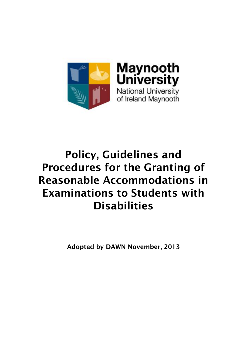

# **Policy, Guidelines and Procedures for the Granting of Reasonable Accommodations in Examinations to Students with Disabilities**

**Adopted by DAWN November, 2013**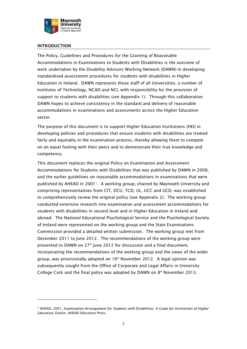

### **INTRODUCTION**

-

The Policy, Guidelines and Procedures for the Granting of Reasonable Accommodations in Examinations to Students with Disabilities is the outcome of work undertaken by the Disability Advisors Working Network (DAWN) in developing standardised assessment procedures for students with disabilities in Higher Education in Ireland. DAWN represents those staff of all Universities, a number of Institutes of Technology, NCAD and NCI, with responsibility for the provision of support to students with disabilities (see Appendix 1). Through this collaboration DAWN hopes to achieve consistency in the standard and delivery of reasonable accommodations in examinations and assessments across the Higher Education sector.

The purpose of this document is to support Higher Education Institutions (HEI) in developing policies and procedures that ensure students with disabilities are treated fairly and equitably in the examination process, thereby allowing them to compete on an equal footing with their peers and to demonstrate their true knowledge and competency.

This document replaces the original Policy on Examination and Assessment Accommodations for Students with Disabilities that was published by DAWN in 2008, and the earlier guidelines on reasonable accommodations in examinations that were published by AHEAD in 2001<sup>1</sup>. A working group, chaired by Maynooth University and comprising representatives from CIT, DCU, TCD, UL, UCC and UCD, was established to comprehensively review the original policy (see Appendix 2). The working group conducted extensive research into examination and assessment accommodations for students with disabilities in second level and in Higher Education in Ireland and abroad. The National Educational Psychological Service and the Psychological Society of Ireland were represented on the working group and the State Examinations Commission provided a detailed written submission. The working group met from December 2011 to June 2012. The recommendations of the working group were presented to DAWN on  $27<sup>th</sup>$  June 2012 for discussion and a final document, incorporating the recommendations of the working group and the views of the wider group, was provisionally adopted on  $16<sup>th</sup>$  November 2012. A legal opinion was subsequently sought from the Office of Corporate and Legal Affairs in University College Cork and the final policy was adopted by DAWN on 8th November 2013.

<sup>1</sup> AHEAD, 2001, *Examination Arrangement for Students with Disabilities: A Guide for Institutions of Higher Education*, Dublin, AHEAD Education Press.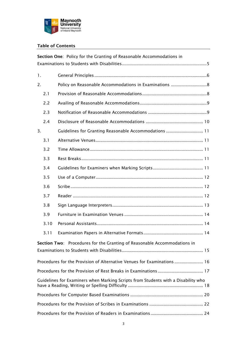

### **Table of Contents**

| Section One: Policy for the Granting of Reasonable Accommodations in              |                                                                          |                                                       |  |  |  |
|-----------------------------------------------------------------------------------|--------------------------------------------------------------------------|-------------------------------------------------------|--|--|--|
|                                                                                   |                                                                          |                                                       |  |  |  |
| 1.                                                                                |                                                                          |                                                       |  |  |  |
| 2.                                                                                |                                                                          |                                                       |  |  |  |
|                                                                                   | 2.1                                                                      |                                                       |  |  |  |
|                                                                                   | 2.2                                                                      |                                                       |  |  |  |
|                                                                                   | 2.3                                                                      |                                                       |  |  |  |
|                                                                                   | 2.4                                                                      |                                                       |  |  |  |
| 3.                                                                                |                                                                          | Guidelines for Granting Reasonable Accommodations  11 |  |  |  |
|                                                                                   | 3.1                                                                      |                                                       |  |  |  |
|                                                                                   | 3.2                                                                      |                                                       |  |  |  |
|                                                                                   | 3.3                                                                      |                                                       |  |  |  |
|                                                                                   | 3.4                                                                      |                                                       |  |  |  |
|                                                                                   | 3.5                                                                      |                                                       |  |  |  |
|                                                                                   | 3.6                                                                      |                                                       |  |  |  |
|                                                                                   | 3.7                                                                      |                                                       |  |  |  |
|                                                                                   | 3.8                                                                      |                                                       |  |  |  |
|                                                                                   | 3.9                                                                      |                                                       |  |  |  |
|                                                                                   | 3.10                                                                     |                                                       |  |  |  |
|                                                                                   | 3.11                                                                     |                                                       |  |  |  |
|                                                                                   | Section Two: Procedures for the Granting of Reasonable Accommodations in |                                                       |  |  |  |
|                                                                                   |                                                                          |                                                       |  |  |  |
| Procedures for the Provision of Alternative Venues for Examinations  16           |                                                                          |                                                       |  |  |  |
|                                                                                   |                                                                          |                                                       |  |  |  |
| Guidelines for Examiners when Marking Scripts from Students with a Disability who |                                                                          |                                                       |  |  |  |
|                                                                                   |                                                                          |                                                       |  |  |  |
|                                                                                   |                                                                          |                                                       |  |  |  |
|                                                                                   |                                                                          |                                                       |  |  |  |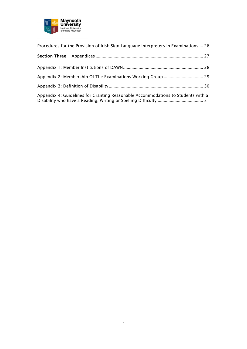

| Procedures for the Provision of Irish Sign Language Interpreters in Examinations  26 |  |
|--------------------------------------------------------------------------------------|--|
|                                                                                      |  |
|                                                                                      |  |
|                                                                                      |  |
|                                                                                      |  |
| Appendix 4: Guidelines for Granting Reasonable Accommodations to Students with a     |  |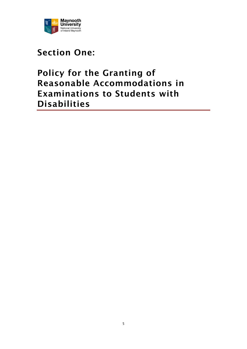

# <span id="page-4-0"></span>**Section One:**

# **Policy for the Granting of Reasonable Accommodations in Examinations to Students with Disabilities**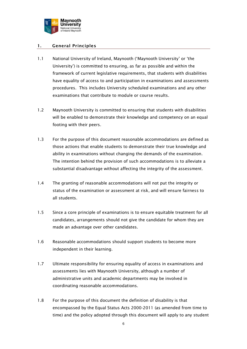

### <span id="page-5-0"></span>**1. General Principles**

- 1.1 National University of Ireland, Maynooth ('Maynooth University' or 'the University') is committed to ensuring, as far as possible and within the framework of current legislative requirements, that students with disabilities have equality of access to and participation in examinations and assessments procedures. This includes University scheduled examinations and any other examinations that contribute to module or course results.
- 1.2 Maynooth University is committed to ensuring that students with disabilities will be enabled to demonstrate their knowledge and competency on an equal footing with their peers.
- 1.3 For the purpose of this document reasonable accommodations are defined as those actions that enable students to demonstrate their true knowledge and ability in examinations without changing the demands of the examination. The intention behind the provision of such accommodations is to alleviate a substantial disadvantage without affecting the integrity of the assessment.
- 1.4 The granting of reasonable accommodations will not put the integrity or status of the examination or assessment at risk, and will ensure fairness to all students.
- 1.5 Since a core principle of examinations is to ensure equitable treatment for all candidates, arrangements should not give the candidate for whom they are made an advantage over other candidates.
- 1.6 Reasonable accommodations should support students to become more independent in their learning.
- 1.7 Ultimate responsibility for ensuring equality of access in examinations and assessments lies with Maynooth University, although a number of administrative units and academic departments may be involved in coordinating reasonable accommodations.
- 1.8 For the purpose of this document the definition of disability is that encompassed by the Equal Status Acts 2000-2011 (as amended from time to time) and the policy adopted through this document will apply to any student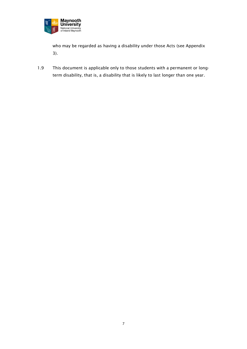

who may be regarded as having a disability under those Acts (see Appendix 3).

1.9 This document is applicable only to those students with a permanent or longterm disability, that is, a disability that is likely to last longer than one year.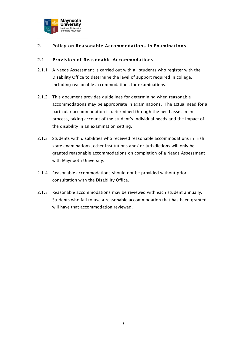

### <span id="page-7-0"></span>**2. Policy on Reasonable Accommodations in Examinations**

#### <span id="page-7-1"></span>**2.1 Provision of Reasonable Accommodations**

- 2.1.1 A Needs Assessment is carried out with all students who register with the Disability Office to determine the level of support required in college, including reasonable accommodations for examinations.
- 2.1.2 This document provides guidelines for determining when reasonable accommodations may be appropriate in examinations. The actual need for a particular accommodation is determined through the need assessment process, taking account of the student's individual needs and the impact of the disability in an examination setting.
- 2.1.3 Students with disabilities who received reasonable accommodations in Irish state examinations, other institutions and/ or jurisdictions will only be granted reasonable accommodations on completion of a Needs Assessment with Maynooth University.
- 2.1.4 Reasonable accommodations should not be provided without prior consultation with the Disability Office.
- 2.1.5 Reasonable accommodations may be reviewed with each student annually. Students who fail to use a reasonable accommodation that has been granted will have that accommodation reviewed.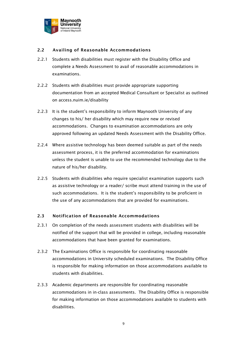

### <span id="page-8-0"></span>**2.2 Availing of Reasonable Accommodations**

- 2.2.1 Students with disabilities must register with the Disability Office and complete a Needs Assessment to avail of reasonable accommodations in examinations.
- 2.2.2 Students with disabilities must provide appropriate supporting documentation from an accepted Medical Consultant or Specialist as outlined on access.nuim.ie/disability
- 2.2.3 It is the student's responsibility to inform Maynooth University of any changes to his/ her disability which may require new or revised accommodations. Changes to examination accommodations are only approved following an updated Needs Assessment with the Disability Office.
- 2.2.4 Where assistive technology has been deemed suitable as part of the needs assessment process, it is the preferred accommodation for examinations unless the student is unable to use the recommended technology due to the nature of his/her disability.
- 2.2.5 Students with disabilities who require specialist examination supports such as assistive technology or a reader/ scribe must attend training in the use of such accommodations. It is the student's responsibility to be proficient in the use of any accommodations that are provided for examinations.

### <span id="page-8-1"></span>**2.3 Notification of Reasonable Accommodations**

- 2.3.1 On completion of the needs assessment students with disabilities will be notified of the support that will be provided in college, including reasonable accommodations that have been granted for examinations.
- 2.3.2 The Examinations Office is responsible for coordinating reasonable accommodations in University scheduled examinations. The Disability Office is responsible for making information on those accommodations available to students with disabilities.
- 2.3.3 Academic departments are responsible for coordinating reasonable accommodations in in-class assessments. The Disability Office is responsible for making information on those accommodations available to students with disabilities.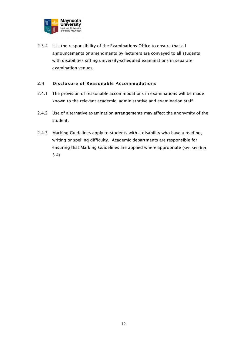

2.3.4 It is the responsibility of the Examinations Office to ensure that all announcements or amendments by lecturers are conveyed to all students with disabilities sitting university-scheduled examinations in separate examination venues.

### <span id="page-9-0"></span>**2.4 Disclosure of Reasonable Accommodations**

- 2.4.1 The provision of reasonable accommodations in examinations will be made known to the relevant academic, administrative and examination staff.
- 2.4.2 Use of alternative examination arrangements may affect the anonymity of the student.
- 2.4.3 Marking Guidelines apply to students with a disability who have a reading, writing or spelling difficulty. Academic departments are responsible for ensuring that Marking Guidelines are applied where appropriate (see section 3.4).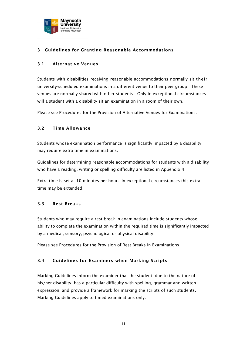

# <span id="page-10-0"></span>**3 Guidelines for Granting Reasonable Accommodations**

### <span id="page-10-1"></span>**3.1 Alternative Venues**

Students with disabilities receiving reasonable accommodations normally sit their university-scheduled examinations in a different venue to their peer group. These venues are normally shared with other students. Only in exceptional circumstances will a student with a disability sit an examination in a room of their own.

Please see Procedures for the Provision of Alternative Venues for Examinations.

### <span id="page-10-2"></span>**3.2 Time Allowance**

Students whose examination performance is significantly impacted by a disability may require extra time in examinations.

Guidelines for determining reasonable accommodations for students with a disability who have a reading, writing or spelling difficulty are listed in Appendix 4.

Extra time is set at 10 minutes per hour. In exceptional circumstances this extra time may be extended.

### <span id="page-10-3"></span>**3.3 Rest Breaks**

Students who may require a rest break in examinations include students whose ability to complete the examination within the required time is significantly impacted by a medical, sensory, psychological or physical disability.

Please see Procedures for the Provision of Rest Breaks in Examinations.

### <span id="page-10-4"></span>**3.4 Guidelines for Examiners when Marking Scripts**

Marking Guidelines inform the examiner that the student, due to the nature of his/her disability, has a particular difficulty with spelling, grammar and written expression, and provide a framework for marking the scripts of such students. Marking Guidelines apply to timed examinations only.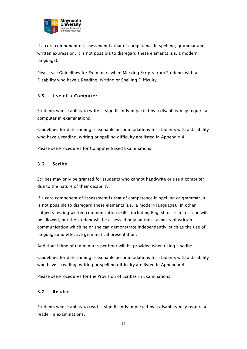

If a core component of assessment is that of competence in spelling, grammar and written expression, it is not possible to disregard these elements (i.e. a modern language).

Please see Guidelines for Examiners when Marking Scripts from Students with a Disability who have a Reading, Writing or Spelling Difficulty.

# <span id="page-11-0"></span>**3.5 Use of a Computer**

Students whose ability to write is significantly impacted by a disability may require a computer in examinations.

Guidelines for determining reasonable accommodations for students with a disability who have a reading, writing or spelling difficulty are listed in Appendix 4.

Please see Procedures for Computer Based Examinations.

### <span id="page-11-1"></span>**3.6 Scribe**

Scribes may only be granted for students who cannot handwrite or use a computer due to the nature of their disability.

If a core component of assessment is that of competence in spelling or grammar, it is not possible to disregard these elements (i.e. a modern language). In other subjects testing written communication skills, including English or Irish, a scribe will be allowed, but the student will be assessed only on those aspects of written communication which he or she can demonstrate independently, such as the use of language and effective grammatical presentation.

Additional time of ten minutes per hour will be provided when using a scribe.

Guidelines for determining reasonable accommodations for students with a disability who have a reading, writing or spelling difficulty are listed in Appendix 4.

Please see Procedures for the Provision of Scribes in Examinations.

# <span id="page-11-2"></span>**3.7 Reader**

Students whose ability to read is significantly impacted by a disability may require a reader in examinations.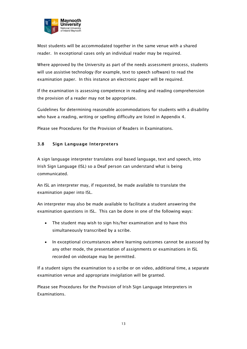

Most students will be accommodated together in the same venue with a shared reader. In exceptional cases only an individual reader may be required.

Where approved by the University as part of the needs assessment process, students will use assistive technology (for example, text to speech software) to read the examination paper. In this instance an electronic paper will be required.

If the examination is assessing competence in reading and reading comprehension the provision of a reader may not be appropriate.

Guidelines for determining reasonable accommodations for students with a disability who have a reading, writing or spelling difficulty are listed in Appendix 4.

Please see Procedures for the Provision of Readers in Examinations.

### <span id="page-12-0"></span>**3.8 Sign Language Interpreters**

A sign language interpreter translates oral based language, text and speech, into Irish Sign Language (ISL) so a Deaf person can understand what is being communicated.

An ISL an interpreter may, if requested, be made available to translate the examination paper into ISL.

An interpreter may also be made available to facilitate a student answering the examination questions in ISL. This can be done in one of the following ways:

- The student may wish to sign his/her examination and to have this simultaneously transcribed by a scribe.
- In exceptional circumstances where learning outcomes cannot be assessed by any other mode, the presentation of assignments or examinations in ISL recorded on videotape may be permitted.

If a student signs the examination to a scribe or on video, additional time, a separate examination venue and appropriate invigilation will be granted.

<span id="page-12-1"></span>Please see Procedures for the Provision of Irish Sign Language Interpreters in Examinations.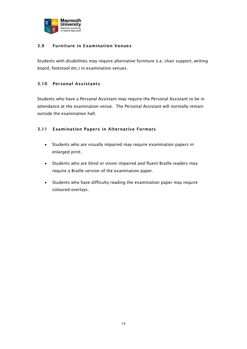

### **3.9 Furniture in Examination Venues**

Students with disabilities may require alternative furniture (i.e. chair support, writing board, footstool etc.) in examination venues.

### <span id="page-13-0"></span>**3.10 Personal Assistants**

Students who have a Personal Assistant may require the Personal Assistant to be in attendance at the examination venue. The Personal Assistant will normally remain outside the examination hall.

### <span id="page-13-1"></span>**3.11 Examination Papers in Alternative Formats**

- Students who are visually impaired may require examination papers in enlarged print.
- Students who are blind or vision impaired and fluent Braille readers may require a Braille version of the examination paper.
- Students who have difficulty reading the examination paper may require coloured overlays.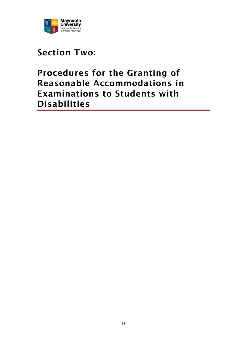

# <span id="page-14-0"></span>**Section Two:**

# <span id="page-14-1"></span>**Procedures for the Granting of Reasonable Accommodations in Examinations to Students with Disabilities**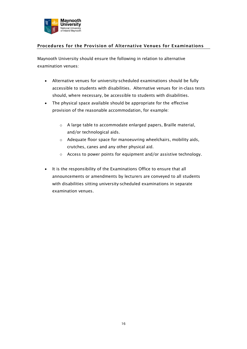

# **Procedures for the Provision of Alternative Venues for Examinations**

Maynooth University should ensure the following in relation to alternative examination venues:

- Alternative venues for university-scheduled examinations should be fully accessible to students with disabilities. Alternative venues for in-class tests should, where necessary, be accessible to students with disabilities.
- The physical space available should be appropriate for the effective provision of the reasonable accommodation, for example:
	- o A large table to accommodate enlarged papers, Braille material, and/or technological aids.
	- o Adequate floor space for manoeuvring wheelchairs, mobility aids, crutches, canes and any other physical aid.
	- o Access to power points for equipment and/or assistive technology.
- It is the responsibility of the Examinations Office to ensure that all announcements or amendments by lecturers are conveyed to all students with disabilities sitting university-scheduled examinations in separate examination venues.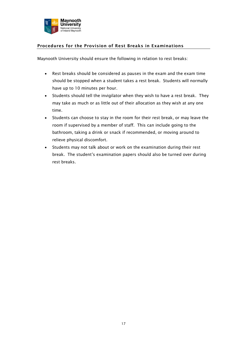

# <span id="page-16-0"></span>**Procedures for the Provision of Rest Breaks in Examinations**

Maynooth University should ensure the following in relation to rest breaks:

- Rest breaks should be considered as pauses in the exam and the exam time should be stopped when a student takes a rest break. Students will normally have up to 10 minutes per hour.
- Students should tell the invigilator when they wish to have a rest break. They may take as much or as little out of their allocation as they wish at any one time.
- Students can choose to stay in the room for their rest break, or may leave the room if supervised by a member of staff. This can include going to the bathroom, taking a drink or snack if recommended, or moving around to relieve physical discomfort.
- Students may not talk about or work on the examination during their rest break. The student's examination papers should also be turned over during rest breaks.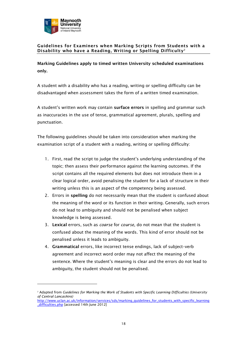

<u>.</u>

### <span id="page-17-0"></span>**Guidelines for Examiners when Marking Scripts from Students with a Disability who have a Reading, Writing or Spelling Difficulty 2**

**Marking Guidelines apply to timed written University scheduled examinations only.** 

A student with a disability who has a reading, writing or spelling difficulty can be disadvantaged when assessment takes the form of a written timed examination.

A student's written work may contain **surface errors** in spelling and grammar such as inaccuracies in the use of tense, grammatical agreement, plurals, spelling and punctuation.

The following guidelines should be taken into consideration when marking the examination script of a student with a reading, writing or spelling difficulty:

- 1. First, read the script to judge the student's underlying understanding of the topic; then assess their performance against the learning outcomes. If the script contains all the required elements but does not introduce them in a clear logical order, avoid penalising the student for a lack of structure in their writing unless this is an aspect of the competency being assessed*.*
- 2. Errors in **spelling** do not necessarily mean that the student is confused about the meaning of the word or its function in their writing. Generally, such errors do not lead to ambiguity and should not be penalised when subject knowledge is being assessed.
- 3. **Lexical** errors, such as *coarse* for *course,* do not mean that the student is confused about the meaning of the words. This kind of error should not be penalised unless it leads to ambiguity.
- 4. **Grammatical** errors, like incorrect tense endings, lack of subject–verb agreement and incorrect word order may not affect the meaning of the sentence. Where the student's meaning is clear and the errors do not lead to ambiguity, the student should not be penalised.

<sup>2</sup> Adapted from *Guidelines for Marking the Work of Students with Specific Learning Difficulties (University of Central Lancashire)*

[http://www.uclan.ac.uk/information/services/sds/marking\\_guidelines\\_for\\_students\\_with\\_specific\\_learning](http://www.uclan.ac.uk/information/services/sds/marking_guidelines_for_students_with_specific_learning_difficulties.php) [\\_difficulties.php](http://www.uclan.ac.uk/information/services/sds/marking_guidelines_for_students_with_specific_learning_difficulties.php) [accessed 14th June 2012]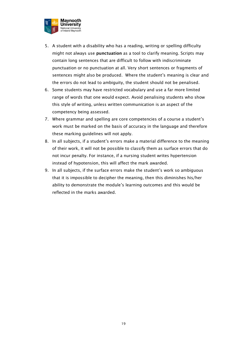

- 5. A student with a disability who has a reading, writing or spelling difficulty might not always use **punctuation** as a tool to clarify meaning. Scripts may contain long sentences that are difficult to follow with indiscriminate punctuation or no punctuation at all. Very short sentences or fragments of sentences might also be produced. Where the student's meaning is clear and the errors do not lead to ambiguity, the student should not be penalised.
- 6. Some students may have restricted vocabulary and use a far more limited range of words that one would expect. Avoid penalising students who show this style of writing, unless written communication is an aspect of the competency being assessed.
- 7. Where grammar and spelling are core competencies of a course a student's work must be marked on the basis of accuracy in the language and therefore these marking guidelines will not apply.
- 8. In all subjects, if a student's errors make a material difference to the meaning of their work, it will not be possible to classify them as surface errors that do not incur penalty. For instance, if a nursing student writes hypertension instead of hypotension, this will affect the mark awarded.
- 9. In all subjects, if the surface errors make the student's work so ambiguous that it is impossible to decipher the meaning, then this diminishes his/her ability to demonstrate the module's learning outcomes and this would be reflected in the marks awarded.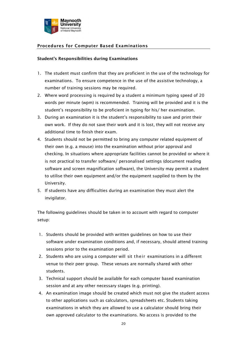

# <span id="page-19-0"></span>**Procedures for Computer Based Examinations**

#### **Student's Responsibilities during Examinations**

- 1. The student must confirm that they are proficient in the use of the technology for examinations. To ensure competence in the use of the assistive technology, a number of training sessions may be required.
- 2. Where word processing is required by a student a minimum typing speed of 20 words per minute (wpm) is recommended. Training will be provided and it is the student's responsibility to be proficient in typing for his/ her examination.
- 3. During an examination it is the student's responsibility to save and print their own work. If they do not save their work and it is lost, they will not receive any additional time to finish their exam.
- 4. Students should not be permitted to bring any computer related equipment of their own (e.g. a mouse) into the examination without prior approval and checking. In situations where appropriate facilities cannot be provided or where it is not practical to transfer software/ personalised settings (document reading software and screen magnification software), the University may permit a student to utilise their own equipment and/or the equipment supplied to them by the University.
- 5. If students have any difficulties during an examination they must alert the invigilator.

The following guidelines should be taken in to account with regard to computer setup:

- 1. Students should be provided with written guidelines on how to use their software under examination conditions and, if necessary, should attend training sessions prior to the examination period.
- 2. Students who are using a computer will sit their examinations in a different venue to their peer group. These venues are normally shared with other students.
- 3. Technical support should be available for each computer based examination session and at any other necessary stages (e.g. printing).
- 4. An examination image should be created which must not give the student access to other applications such as calculators, spreadsheets etc. Students taking examinations in which they are allowed to use a calculator should bring their own approved calculator to the examinations. No access is provided to the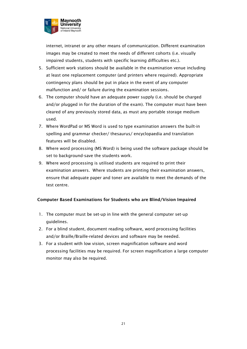

internet, intranet or any other means of communication. Different examination images may be created to meet the needs of different cohorts (i.e. visually impaired students, students with specific learning difficulties etc.).

- 5. Sufficient work stations should be available in the examination venue including at least one replacement computer (and printers where required). Appropriate contingency plans should be put in place in the event of any computer malfunction and/ or failure during the examination sessions.
- 6. The computer should have an adequate power supply (i.e. should be charged and/or plugged in for the duration of the exam). The computer must have been cleared of any previously stored data, as must any portable storage medium used.
- 7. Where WordPad or MS Word is used to type examination answers the built-in spelling and grammar checker/ thesaurus/ encyclopaedia and translation features will be disabled.
- 8. Where word processing (MS Word) is being used the software package should be set to background-save the students work.
- 9. Where word processing is utilised students are required to print their examination answers. Where students are printing their examination answers, ensure that adequate paper and toner are available to meet the demands of the test centre.

# **Computer Based Examinations for Students who are Blind/Vision Impaired**

- 1. The computer must be set-up in line with the general computer set-up guidelines.
- 2. For a blind student, document reading software, word processing facilities and/or Braille/Braille-related devices and software may be needed.
- 3. For a student with low vision, screen magnification software and word processing facilities may be required. For screen magnification a large computer monitor may also be required.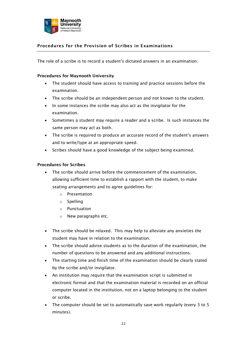

# <span id="page-21-0"></span>**Procedures for the Provision of Scribes in Examinations**

The role of a scribe is to record a student's dictated answers in an examination.

#### **Procedures for Maynooth University**

- The student should have access to training and practice sessions before the examination.
- The scribe should be an independent person and not known to the student.
- In some instances the scribe may also act as the invigilator for the examination.
- Sometimes a student may require a reader and a scribe. Is such instances the same person may act as both.
- The scribe is required to produce an accurate record of the student's answers and to write/type at an appropriate speed.
- Scribes should have a good knowledge of the subject being examined.

#### **Procedures for Scribes**

- The scribe should arrive before the commencement of the examination, allowing sufficient time to establish a rapport with the student, to make seating arrangements and to agree guidelines for:
	- o Presentation
	- o Spelling
	- o Punctuation
	- o New paragraphs etc.
- The scribe should be relaxed. This may help to alleviate any anxieties the student may have in relation to the examination.
- The scribe should advise students as to the duration of the examination, the number of questions to be answered and any additional instructions.
- The starting time and finish time of the examination should be clearly stated by the scribe and/or invigilator.
- An institution may require that the examination script is submitted in electronic format and that the examination material is recorded on an official computer located in the institution, not on a laptop belonging to the student or scribe.
- The computer should be set to automatically save work regularly (every 3 to 5 minutes).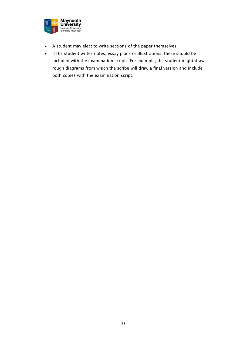

- A student may elect to write sections of the paper themselves.
- If the student writes notes, essay plans or illustrations, these should be included with the examination script. For example, the student might draw rough diagrams from which the scribe will draw a final version and include both copies with the examination script.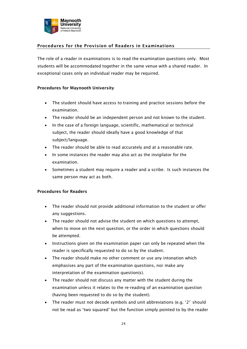

# <span id="page-23-0"></span>**Procedures for the Provision of Readers in Examinations**

The role of a reader in examinations is to read the examination questions only. Most students will be accommodated together in the same venue with a shared reader. In exceptional cases only an individual reader may be required.

#### **Procedures for Maynooth University**

- The student should have access to training and practice sessions before the examination.
- The reader should be an independent person and not known to the student.
- In the case of a foreign language, scientific, mathematical or technical subject, the reader should ideally have a good knowledge of that subject/language.
- The reader should be able to read accurately and at a reasonable rate.
- In some instances the reader may also act as the invigilator for the examination.
- Sometimes a student may require a reader and a scribe. Is such instances the same person may act as both.

### **Procedures for Readers**

- The reader should not provide additional information to the student or offer any suggestions.
- The reader should not advise the student on which questions to attempt, when to move on the next question, or the order in which questions should be attempted.
- Instructions given on the examination paper can only be repeated when the reader is specifically requested to do so by the student.
- The reader should make no other comment or use any intonation which emphasises any part of the examination questions, nor make any interpretation of the examination question(s).
- The reader should not discuss any matter with the student during the examination unless it relates to the re-reading of an examination question (having been requested to do so by the student).
- The reader must not decode symbols and unit abbreviations (e.g.  $2^2$  should not be read as 'two squared' but the function simply pointed to by the reader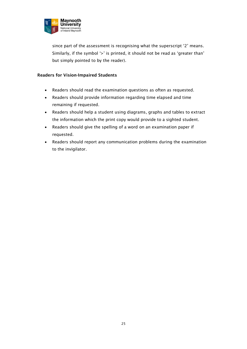

since part of the assessment is recognising what the superscript '2' means. Similarly, if the symbol '>' is printed, it should not be read as 'greater than' but simply pointed to by the reader).

### **Readers for Vision-Impaired Students**

- Readers should read the examination questions as often as requested.
- Readers should provide information regarding time elapsed and time remaining if requested.
- Readers should help a student using diagrams, graphs and tables to extract the information which the print copy would provide to a sighted student.
- Readers should give the spelling of a word on an examination paper if requested.
- Readers should report any communication problems during the examination to the invigilator.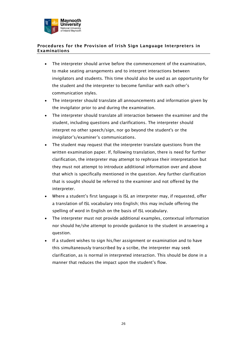

### <span id="page-25-0"></span>**Procedures for the Provision of Irish Sign Language Interpreters in Examinations**

- The interpreter should arrive before the commencement of the examination, to make seating arrangements and to interpret interactions between invigilators and students. This time should also be used as an opportunity for the student and the interpreter to become familiar with each other's communication styles.
- The interpreter should translate all announcements and information given by the invigilator prior to and during the examination.
- The interpreter should translate all interaction between the examiner and the student, including questions and clarifications. The interpreter should interpret no other speech/sign, nor go beyond the student's or the invigilator's/examiner's communications.
- The student may request that the interpreter translate questions from the written examination paper. If, following translation, there is need for further clarification, the interpreter may attempt to rephrase their interpretation but they must not attempt to introduce additional information over and above that which is specifically mentioned in the question. Any further clarification that is sought should be referred to the examiner and not offered by the interpreter.
- Where a student's first language is ISL an interpreter may, if requested, offer a translation of ISL vocabulary into English; this may include offering the spelling of word in English on the basis of ISL vocabulary.
- The interpreter must not provide additional examples, contextual information nor should he/she attempt to provide guidance to the student in answering a question.
- If a student wishes to sign his/her assignment or examination and to have this simultaneously transcribed by a scribe, the interpreter may seek clarification, as is normal in interpreted interaction. This should be done in a manner that reduces the impact upon the student's flow.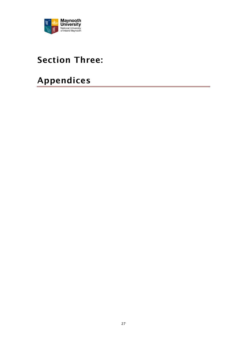

# <span id="page-26-0"></span>**Section Three:**

# <span id="page-26-1"></span>**Appendices**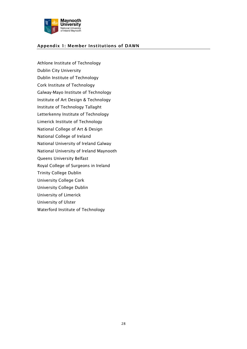

### **Appendix 1: Member Institutions of DAWN**

Athlone Institute of Technology Dublin City University Dublin Institute of Technology Cork Institute of Technology Galway-Mayo Institute of Technology Institute of Art Design & Technology Institute of Technology Tallaght Letterkenny Institute of Technology Limerick Institute of Technology National College of Art & Design National College of Ireland National University of Ireland Galway National University of Ireland Maynooth Queens University Belfast Royal College of Surgeons in Ireland Trinity College Dublin University College Cork University College Dublin University of Limerick University of Ulster Waterford Institute of Technology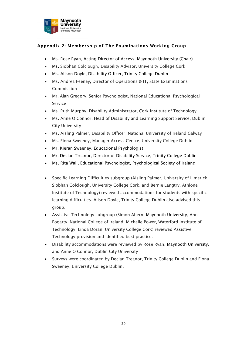

# <span id="page-28-0"></span>**Appendix 2: Membership of The Examinations Working Group**

- Ms. Rose Ryan, Acting Director of Access, Maynooth University (Chair)
- Ms. Siobhan Colclough, Disability Advisor, University College Cork
- Ms. Alison Doyle, Disability Officer, Trinity College Dublin
- Ms. Andrea Feeney, Director of Operations & IT, State Examinations Commission
- Mr. Alan Gregory, Senior Psychologist, National Educational Psychological Service
- Ms. Ruth Murphy, Disability Administrator, Cork Institute of Technology
- Ms. Anne O'Connor, Head of Disability and Learning Support Service, Dublin City University
- Ms. Aisling Palmer, Disability Officer, National University of Ireland Galway
- Ms. Fiona Sweeney, Manager Access Centre, University College Dublin
- Mr. Kieran Sweeney, Educational Psychologist
- Mr. Declan Treanor, Director of Disability Service, Trinity College Dublin
- Ms. Rita Wall, Educational Psychologist, Psychological Society of Ireland
- Specific Learning Difficulties subgroup (Aisling Palmer, University of Limerick, Siobhan Colclough, University College Cork, and Bernie Langtry, Athlone Institute of Technology) reviewed accommodations for students with specific learning difficulties. Alison Doyle, Trinity College Dublin also advised this group.
- Assistive Technology subgroup (Simon Ahern, Maynooth University, Ann Fogarty, National College of Ireland, Michelle Power, Waterford Institute of Technology, Linda Doran, University College Cork) reviewed Assistive Technology provision and identified best practice.
- Disability accommodations were reviewed by Rose Ryan, Maynooth University, and Anne O Connor, Dublin City University
- Surveys were coordinated by Declan Treanor, Trinity College Dublin and Fiona Sweeney, University College Dublin.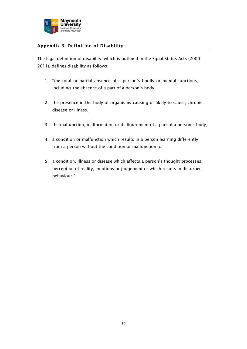

# <span id="page-29-0"></span>**Appendix 3: Definition of Disability**

The legal definition of disability, which is outlined in the Equal Status Acts (2000- 2011)*,* defines disability as follows:

- 1. "the total or partial absence of a person's bodily or mental functions, including the absence of a part of a person's body,
- 2. the presence in the body of organisms causing or likely to cause, chronic disease or illness,
- 3. the malfunction, malformation or disfigurement of a part of a person's body,
- 4. a condition or malfunction which results in a person learning differently from a person without the condition or malfunction, or
- 5. a condition, illness or disease which affects a person's thought processes, perception of reality, emotions or judgement or which results in disturbed behaviour."